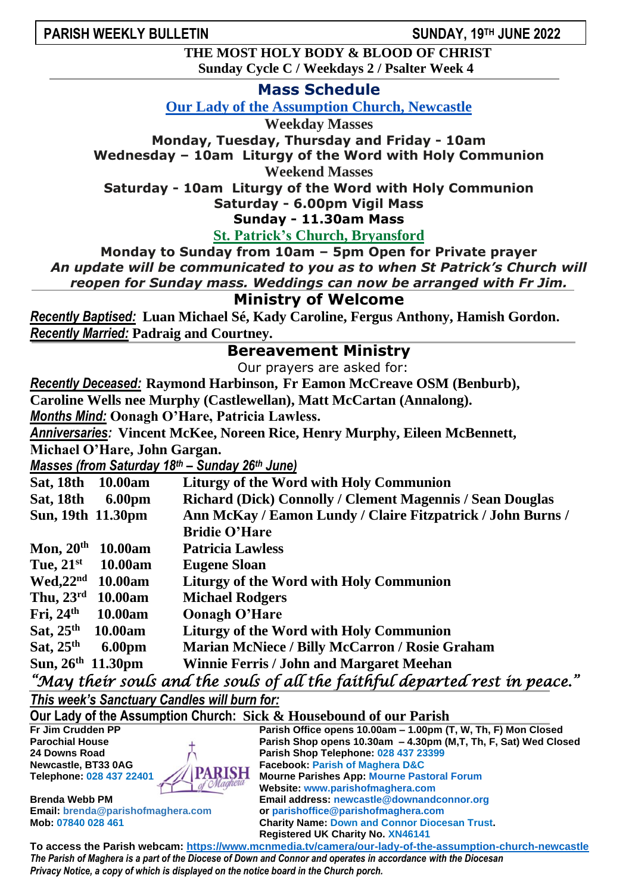## **PARISH WEEKLY BULLETIN**

**TH JUNE 2022**

**THE MOST HOLY BODY & BLOOD OF CHRIST Sunday Cycle C / Weekdays 2 / Psalter Week 4**

**Mass Schedule**

**Our Lady of the Assumption Church, Newcastle**

**Weekday Masses**

**Monday, Tuesday, Thursday and Friday - 10am**

**Wednesday – 10am Liturgy of the Word with Holy Communion**

**Weekend Masses**

**Saturday - 10am Liturgy of the Word with Holy Communion Saturday - 6.00pm Vigil Mass**

**Sunday - 11.30am Mass**

**St. Patrick's Church, Bryansford**

**Monday to Sunday from 10am – 5pm Open for Private prayer** *An update will be communicated to you as to when St Patrick's Church will*

*reopen for Sunday mass. Weddings can now be arranged with Fr Jim.* 

## **Ministry of Welcome**

*Recently Baptised:* **Luan Michael Sé, Kady Caroline, Fergus Anthony, Hamish Gordon.** *Recently Married:* **Padraig and Courtney.**

## **Bereavement Ministry**

Our prayers are asked for:

*Recently Deceased:* **Raymond Harbinson, Fr Eamon McCreave OSM (Benburb),** 

**Caroline Wells nee Murphy (Castlewellan), Matt McCartan (Annalong).**

*Months Mind:* **Oonagh O'Hare, Patricia Lawless.**

*Anniversaries:* **Vincent McKee, Noreen Rice, Henry Murphy, Eileen McBennett,**

**Michael O'Hare, John Gargan.**

*Masses (from Saturday 18th – Sunday 26th June)*

| <b>Sat, 18th</b>       | 10.00am           | <b>Liturgy of the Word with Holy Communion</b>                   |
|------------------------|-------------------|------------------------------------------------------------------|
| <b>Sat, 18th</b>       | <b>6.00pm</b>     | <b>Richard (Dick) Connolly / Clement Magennis / Sean Douglas</b> |
|                        | Sun, 19th 11.30pm | Ann McKay / Eamon Lundy / Claire Fitzpatrick / John Burns /      |
|                        |                   | <b>Bridie O'Hare</b>                                             |
| Mon, $20th$            | 10.00am           | <b>Patricia Lawless</b>                                          |
| Tue, $21st$            | <b>10.00am</b>    | <b>Eugene Sloan</b>                                              |
| Wed, 22 <sup>nd</sup>  | 10.00am           | <b>Liturgy of the Word with Holy Communion</b>                   |
| Thu, $23^{\text{rd}}$  | 10.00am           | <b>Michael Rodgers</b>                                           |
| Fri, $24th$            | 10.00am           | <b>Oonagh O'Hare</b>                                             |
| Sat, $25th$            | 10.00am           | <b>Liturgy of the Word with Holy Communion</b>                   |
| Sat, $25th$            | <b>6.00pm</b>     | <b>Marian McNiece / Billy McCarron / Rosie Graham</b>            |
| Sun, $26^{th}$ 11.30pm |                   | <b>Winnie Ferris / John and Margaret Meehan</b>                  |
|                        |                   |                                                                  |

*"May their souls and the souls of all the faithful departed rest in peace."* 

*This week's Sanctuary Candles will burn for:* 

**Our Lady of the Assumption Church: Sick & Housebound of our Parish Parish Office opens 10.00am – 1.00pm (T, W, Th, F) Mon Closed Parochial House Parish Shop opens 10.30am – 4.30pm (M,T, Th, F, Sat) Wed Closed 24 Downs Road Parish Shop Telephone: 028 437 23399 Newcastle, BT33 0AG**<br> **Facebook: Parish of Maghera D&C**<br> **Falephone: 028 437 22401 Telephone: 028 437 22401 Mourne Parishes App: Mourne Pastoral Forum Website: [www.parishofmaghera.com](http://www.parishofmaghera.com/) Brenda Webb PM Email address: [newcastle@downandconnor.org](mailto:newcastle@downandconnor.org) Email: [brenda@parishofmaghera.com](mailto:brenda@parishofmaghera.com) or parishoffice@parishofmaghera.com Mob: 07840 028 461 Charity Name: Down and Connor Diocesan Trust. Registered UK Charity No. XN46141**

**To access the Parish webcam: <https://www.mcnmedia.tv/camera/our-lady-of-the-assumption-church-newcastle>** *The Parish of Maghera is a part of the Diocese of Down and Connor and operates in accordance with the Diocesan Privacy Notice, a copy of which is displayed on the notice board in the Church porch.*